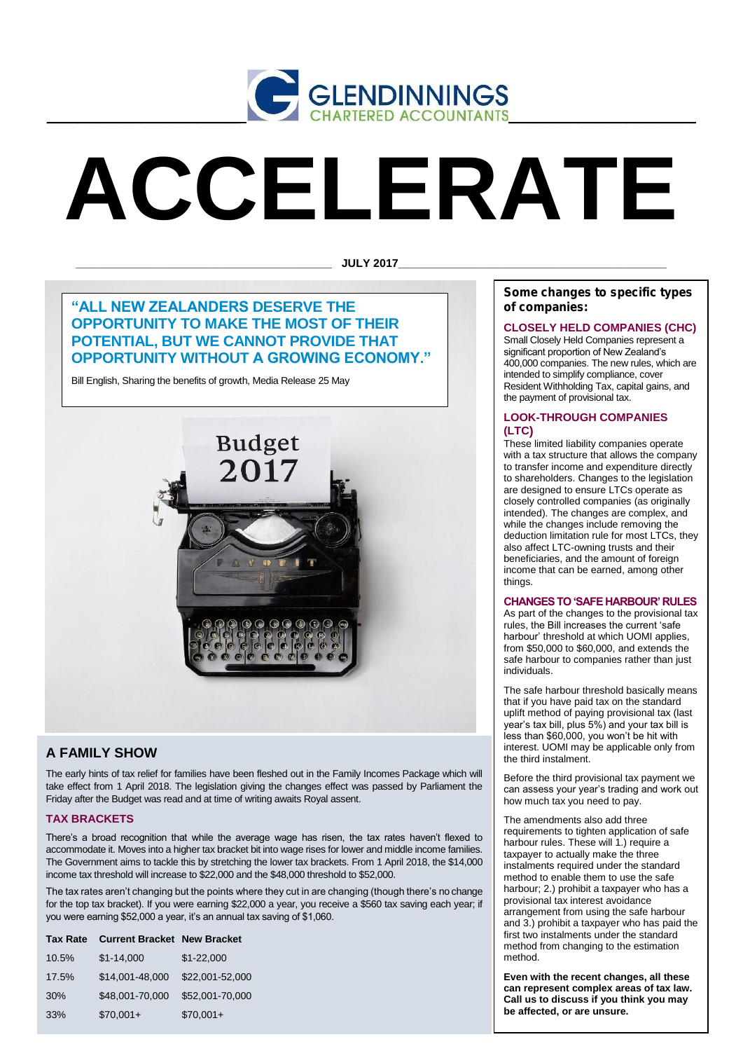

# **ACCELERATE**

**\_\_\_\_\_\_\_\_\_\_\_\_\_\_\_\_\_\_\_\_\_\_\_\_\_\_\_\_\_\_\_\_\_\_\_\_\_\_\_\_\_ JULY 2017\_\_\_\_\_\_\_\_\_\_\_\_\_\_\_\_\_\_\_\_\_\_\_\_\_\_\_\_\_\_\_\_\_\_\_\_\_\_\_\_\_\_\_**

## **"ALL NEW ZEALANDERS DESERVE THE OPPORTUNITY TO MAKE THE MOST OF THEIR POTENTIAL, BUT WE CANNOT PROVIDE THAT OPPORTUNITY WITHOUT A GROWING ECONOMY."**

Bill English, Sharing the benefits of growth, Media Release 25 May



## **A FAMILY SHOW**

The early hints of tax relief for families have been fleshed out in the Family Incomes Package which will take effect from 1 April 2018. The legislation giving the changes effect was passed by Parliament the Friday after the Budget was read and at time of writing awaits Royal assent.

### **TAX BRACKETS**

There's a broad recognition that while the average wage has risen, the tax rates haven't flexed to accommodate it. Moves into a higher tax bracket bit into wage rises for lower and middle income families. The Government aims to tackle this by stretching the lower tax brackets. From 1 April 2018, the \$14,000 income tax threshold will increase to \$22,000 and the \$48,000 threshold to \$52,000.

The tax rates aren't changing but the points where they cut in are changing (though there's no change for the top tax bracket). If you were earning \$22,000 a year, you receive a \$560 tax saving each year; if you were earning \$52,000 a year, it's an annual tax saving of \$1,060.

| <b>Tax Rate</b> | <b>Current Bracket New Bracket</b> |                 |
|-----------------|------------------------------------|-----------------|
| 10.5%           | $$1-14,000$                        | $$1-22,000$     |
| 17.5%           | \$14,001-48,000                    | \$22,001-52,000 |
| 30%             | \$48,001-70,000                    | \$52,001-70,000 |
| 33%             | $$70,001+$                         | $$70,001+$      |

*Some changes to specific types of companies:*

## **CLOSELY HELD COMPANIES (CHC)**

Small Closely Held Companies represent a significant proportion of New Zealand's 400,000 companies. The new rules, which are intended to simplify compliance, cover Resident Withholding Tax, capital gains, and the payment of provisional tax.

## **LOOK-THROUGH COMPANIES (LTC)**

These limited liability companies operate with a tax structure that allows the company to transfer income and expenditure directly to shareholders. Changes to the legislation are designed to ensure LTCs operate as closely controlled companies (as originally intended). The changes are complex, and while the changes include removing the deduction limitation rule for most LTCs, they also affect LTC-owning trusts and their beneficiaries, and the amount of foreign income that can be earned, among other things.

#### **CHANGES TO 'SAFE HARBOUR' RULES**

As part of the changes to the provisional tax rules, the Bill increases the current 'safe harbour' threshold at which UOMI applies, from \$50,000 to \$60,000, and extends the safe harbour to companies rather than just individuals.

The safe harbour threshold basically means that if you have paid tax on the standard uplift method of paying provisional tax (last year's tax bill, plus 5%) and your tax bill is less than \$60,000, you won't be hit with interest. UOMI may be applicable only from the third instalment.

Before the third provisional tax payment we can assess your year's trading and work out how much tax you need to pay.

The amendments also add three requirements to tighten application of safe harbour rules. These will 1.) require a taxpayer to actually make the three instalments required under the standard method to enable them to use the safe harbour; 2.) prohibit a taxpayer who has a provisional tax interest avoidance arrangement from using the safe harbour and 3.) prohibit a taxpayer who has paid the first two instalments under the standard method from changing to the estimation method.

**Even with the recent changes, all these can represent complex areas of tax law. Call us to discuss if you think you may be affected, or are unsure.**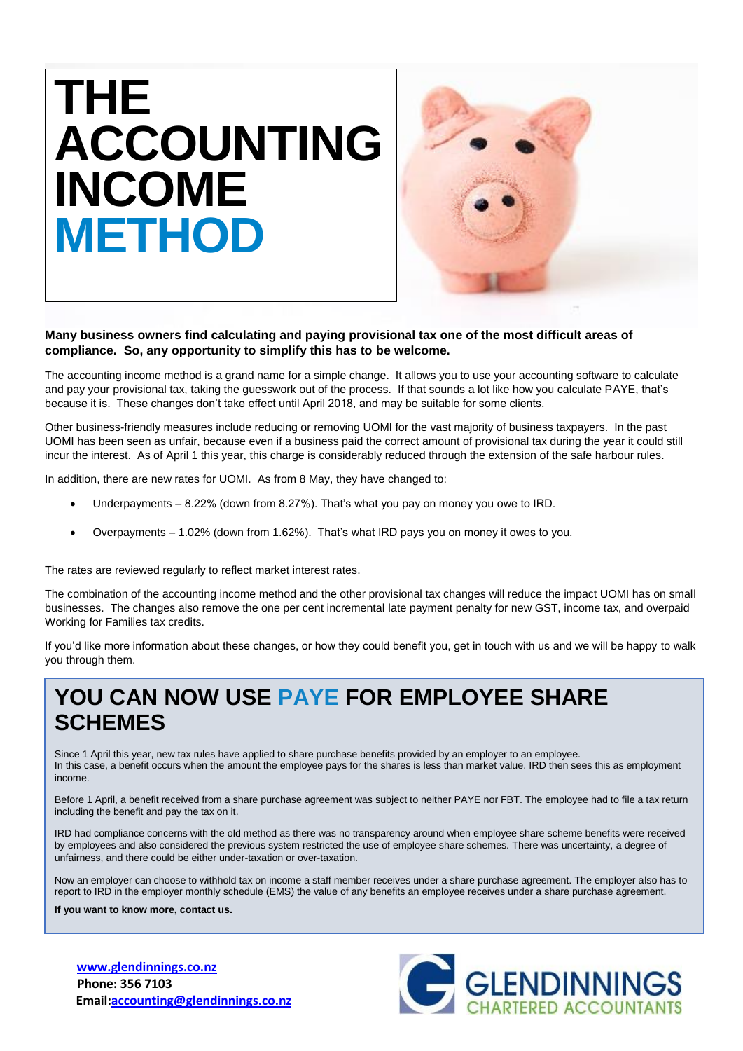



## **Many business owners find calculating and paying provisional tax one of the most difficult areas of compliance. So, any opportunity to simplify this has to be welcome.**

The accounting income method is a grand name for a simple change. It allows you to use your accounting software to calculate and pay your provisional tax, taking the guesswork out of the process. If that sounds a lot like how you calculate PAYE, that's because it is. These changes don't take effect until April 2018, and may be suitable for some clients.

Other business-friendly measures include reducing or removing UOMI for the vast majority of business taxpayers. In the past UOMI has been seen as unfair, because even if a business paid the correct amount of provisional tax during the year it could still incur the interest. As of April 1 this year, this charge is considerably reduced through the extension of the safe harbour rules.

In addition, there are new rates for UOMI. As from 8 May, they have changed to:

- Underpayments 8.22% (down from 8.27%). That's what you pay on money you owe to IRD.
- Overpayments 1.02% (down from 1.62%). That's what IRD pays you on money it owes to you.

The rates are reviewed regularly to reflect market interest rates.

The combination of the accounting income method and the other provisional tax changes will reduce the impact UOMI has on small businesses. The changes also remove the one per cent incremental late payment penalty for new GST, income tax, and overpaid Working for Families tax credits.

If you'd like more information about these changes, or how they could benefit you, get in touch with us and we will be happy to walk you through them.

## **YOU CAN NOW USE PAYE FOR EMPLOYEE SHARE SCHEMES**

Since 1 April this year, new tax rules have applied to share purchase benefits provided by an employer to an employee. In this case, a benefit occurs when the amount the employee pays for the shares is less than market value. IRD then sees this as employment income.

Before 1 April, a benefit received from a share purchase agreement was subject to neither PAYE nor FBT. The employee had to file a tax return including the benefit and pay the tax on it.

IRD had compliance concerns with the old method as there was no transparency around when employee share scheme benefits were received by employees and also considered the previous system restricted the use of employee share schemes. There was uncertainty, a degree of unfairness, and there could be either under-taxation or over-taxation.

Now an employer can choose to withhold tax on income a staff member receives under a share purchase agreement. The employer also has to report to IRD in the employer monthly schedule (EMS) the value of any benefits an employee receives under a share purchase agreement.

**If you want to know more, contact us.**

**[www.glendinnings.co.nz](http://www.glendinnings.co.nz/) Phone: 356 7103 Email:accounting@glendinnings.co.nz**